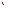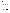## **Development of Targets, Indicators, and a Management Model for Urban Streams: A Work in Progress**

## **Introduction**

Meaningful and attainable goals as well as measures of progress towards those goals can be key drivers of efforts to restore urban streams. The development of data models can be an important step in helping to set goals and to estimate the potential to attain aquatic life goals by addressing both habitat deficiencies and pollutant loads. The development of a model may also lead to useful measures of progress for urban restoration efforts.

On July 31, 2001 the USEPA issued the document "Guidance: Coordinating CSO Longterm Planning with Water Quality Standards Reviews". A table entitled "Developing a Refined Aquatic Life Designated Use System" describes processes for the development of categories of aquatic life uses and additional processes for the development of subcategories of aquatic life uses in urban settings. In addition, several major municipal water quality management agencies in Ohio are partnering with the regulatory agencies and the research community to develop a data model or models to provide a scientific basis for the development of an Ohio urban subcategory for aquatic life uses. Existing aquatic life criteria are seldom, if ever, attained in Ohio's urban dominated streams. This research effort will combine Ohio's rich biological data set with pollutant load data, and specific land use and stream corridor data. The focus will be small urban dominated watersheds -- generally less than 20 square miles of drainage area.

A conceptual management model has been developed to help provide an interpretation of the suggested guidance process and to guide the research effort. The conceptual model seeks to integrate the explanatory variables of land use impacts and load impacts with the dependent variable of biotic integrity. The potential use of such a model to explore the issue of trading between land use changes and pollution load reduction will be discussed. The model raises several questions for the research effort and for regulators working with urban subcategory criteria. For example, the model suggests a need to separately explore variables related to the watershed scale and those related to stream corridor characteristics. It also suggests there may be a case for urban criteria that vary with the condition of the landscape.

Using implications of the proposed concept model, this presentation will suggest approaches to compensate for the lack of reference condition data. For the proposed undertaking, ideal reference conditions would be represented by data from urban dominated streams in which controllable pollutant loads have been virtually eliminated. Drawing upon other past and current research efforts exploring the Ohio data set, this presentation will discuss data requirements for the research effort. The demands of the process outlined by the guidance document suggests that the creation of an urban subcategory will be a demanding task even for Ohio, which has a substantial biological data set.